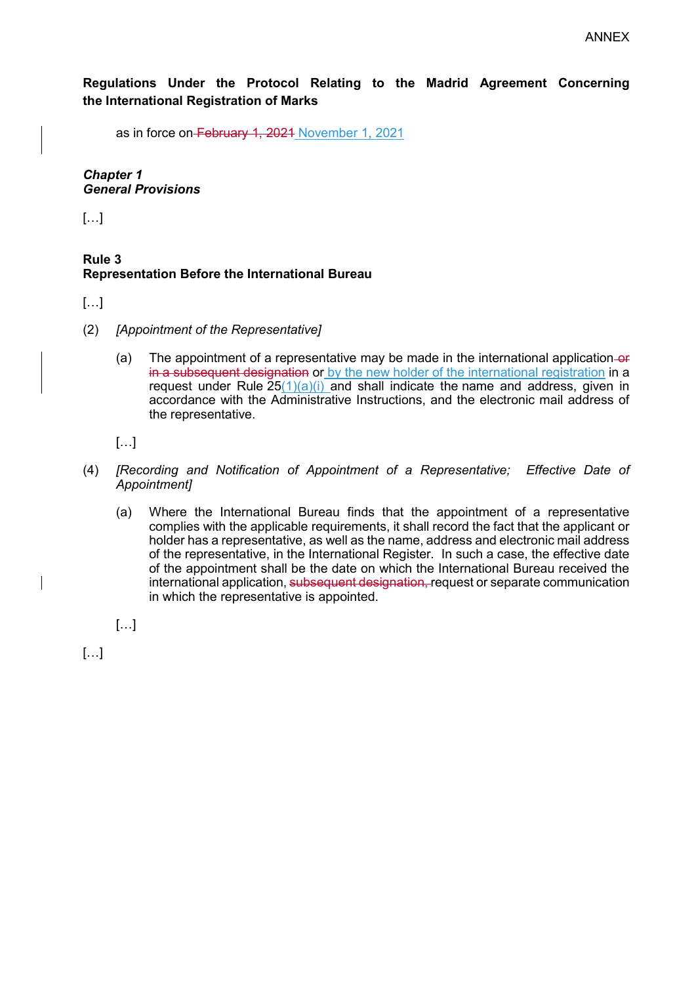**Regulations Under the Protocol Relating to the Madrid Agreement Concerning the International Registration of Marks**

as in force on-February 1, 2021 November 1, 2021

*Chapter 1 General Provisions*

[…]

## **Rule 3 Representation Before the International Bureau**

[…]

- (2) *[Appointment of the Representative]*
	- (a) The appointment of a representative may be made in the international application-or in a subsequent designation or by the new holder of the international registration in a request under Rule  $25(1)(a)(i)$  and shall indicate the name and address, given in accordance with the Administrative Instructions, and the electronic mail address of the representative.

[…]

- (4) *[Recording and Notification of Appointment of a Representative; Effective Date of Appointment]*
	- (a) Where the International Bureau finds that the appointment of a representative complies with the applicable requirements, it shall record the fact that the applicant or holder has a representative, as well as the name, address and electronic mail address of the representative, in the International Register. In such a case, the effective date of the appointment shall be the date on which the International Bureau received the international application, subsequent designation, request or separate communication in which the representative is appointed.

 $\left[\ldots\right]$ 

[…]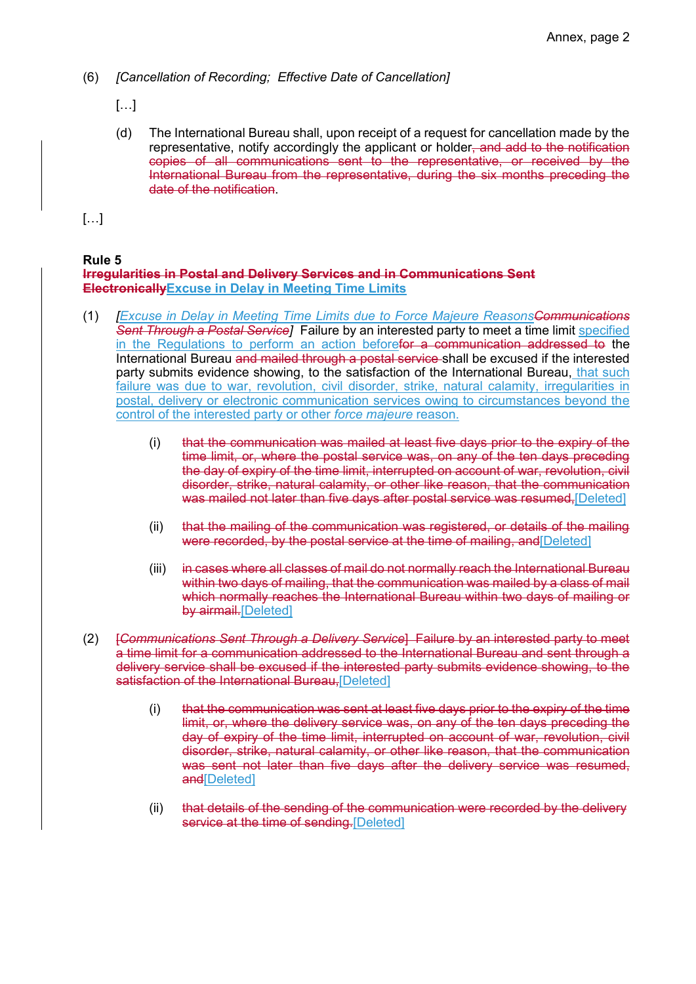- (6) *[Cancellation of Recording; Effective Date of Cancellation]* 
	- […]
	- (d) The International Bureau shall, upon receipt of a request for cancellation made by the representative, notify accordingly the applicant or holder, and add to the notification copies of all communications sent to the representative, or received by the International Bureau from the representative, during the six months preceding the date of the notification.

[…]

## **Rule 5**

#### **Irregularities in Postal and Delivery Services and in Communications Sent ElectronicallyExcuse in Delay in Meeting Time Limits**

- (1) *[Excuse in Delay in Meeting Time Limits due to Force Majeure ReasonsCommunications Sent Through a Postal Service]* Failure by an interested party to meet a time limit specified in the Regulations to perform an action beforefor a communication addressed to the International Bureau and mailed through a postal service shall be excused if the interested party submits evidence showing, to the satisfaction of the International Bureau, that such failure was due to war, revolution, civil disorder, strike, natural calamity, irregularities in postal, delivery or electronic communication services owing to circumstances beyond the control of the interested party or other *force majeure* reason.
	- (i) that the communication was mailed at least five days prior to the expiry of the time limit, or, where the postal service was, on any of the ten days preceding the day of expiry of the time limit, interrupted on account of war, revolution, civil disorder, strike, natural calamity, or other like reason, that the communication was mailed not later than five days after postal service was resumed. [Deleted]
	- (ii) that the mailing of the communication was registered, or details of the mailing were recorded, by the postal service at the time of mailing, and [Deleted]
	- (iii) in cases where all classes of mail do not normally reach the International Bureau within two days of mailing, that the communication was mailed by a class of mail which normally reaches the International Bureau within two days of mailing or by airmail.[Deleted]
- (2) [*Communications Sent Through a Delivery Service*] Failure by an interested party to meet a time limit for a communication addressed to the International Bureau and sent through a delivery service shall be excused if the interested party submits evidence showing, to the satisfaction of the International Bureau, [Deleted]
	- (i) that the communication was sent at least five days prior to the expiry of the time limit, or, where the delivery service was, on any of the ten days preceding the day of expiry of the time limit, interrupted on account of war, revolution, civil disorder, strike, natural calamity, or other like reason, that the communication was sent not later than five days after the delivery service was resumed, and<sup>[Deleted]</sup>
	- (ii) that details of the sending of the communication were recorded by the delivery service at the time of sending.[Deleted]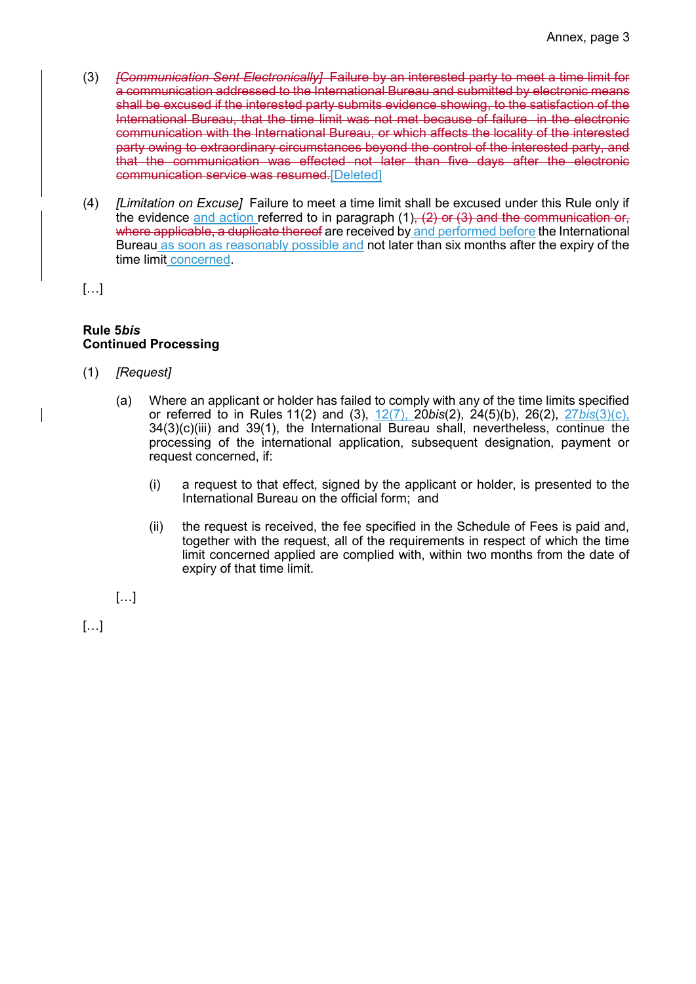- (3) *[Communication Sent Electronically]* Failure by an interested party to meet a time limit for a communication addressed to the International Bureau and submitted by electronic means shall be excused if the interested party submits evidence showing, to the satisfaction of the International Bureau, that the time limit was not met because of failure in the electronic communication with the International Bureau, or which affects the locality of the interested party owing to extraordinary circumstances beyond the control of the interested party, and that the communication was effected not later than five days after the electronic communication service was resumed.[Deleted]
- (4) *[Limitation on Excuse]* Failure to meet a time limit shall be excused under this Rule only if the evidence and action referred to in paragraph  $(1)$ ,  $(2)$  or  $(3)$  and the communication or, where applicable, a duplicate thereof are received by and performed before the International Bureau as soon as reasonably possible and not later than six months after the expiry of the time limit concerned.

[…]

#### **Rule 5***bis*  **Continued Processing**

- (1) *[Request]* 
	- (a) Where an applicant or holder has failed to comply with any of the time limits specified or referred to in Rules 11(2) and (3), 12(7), 20*bis*(2), 24(5)(b), 26(2), 27*bis*(3)(c), 34(3)(c)(iii) and 39(1), the International Bureau shall, nevertheless, continue the processing of the international application, subsequent designation, payment or request concerned, if:
		- (i) a request to that effect, signed by the applicant or holder, is presented to the International Bureau on the official form; and
		- (ii) the request is received, the fee specified in the Schedule of Fees is paid and, together with the request, all of the requirements in respect of which the time limit concerned applied are complied with, within two months from the date of expiry of that time limit.

[…]

[…]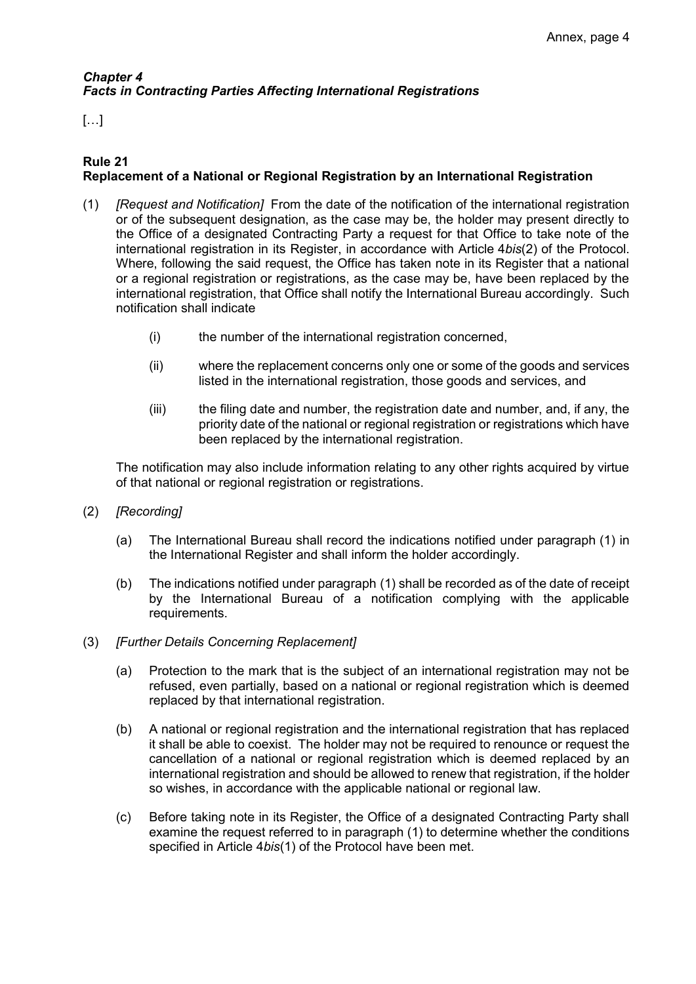# *Chapter 4 Facts in Contracting Parties Affecting International Registrations*

# […]

## **Rule 21 Replacement of a National or Regional Registration by an International Registration**

- (1) *[Request and Notification]* From the date of the notification of the international registration or of the subsequent designation, as the case may be, the holder may present directly to the Office of a designated Contracting Party a request for that Office to take note of the international registration in its Register, in accordance with Article 4*bis*(2) of the Protocol. Where, following the said request, the Office has taken note in its Register that a national or a regional registration or registrations, as the case may be, have been replaced by the international registration, that Office shall notify the International Bureau accordingly. Such notification shall indicate
	- (i) the number of the international registration concerned,
	- (ii) where the replacement concerns only one or some of the goods and services listed in the international registration, those goods and services, and
	- (iii) the filing date and number, the registration date and number, and, if any, the priority date of the national or regional registration or registrations which have been replaced by the international registration.

The notification may also include information relating to any other rights acquired by virtue of that national or regional registration or registrations.

- (2) *[Recording]*
	- (a) The International Bureau shall record the indications notified under paragraph (1) in the International Register and shall inform the holder accordingly.
	- (b) The indications notified under paragraph (1) shall be recorded as of the date of receipt by the International Bureau of a notification complying with the applicable requirements.
- (3) *[Further Details Concerning Replacement]* 
	- (a) Protection to the mark that is the subject of an international registration may not be refused, even partially, based on a national or regional registration which is deemed replaced by that international registration.
	- (b) A national or regional registration and the international registration that has replaced it shall be able to coexist. The holder may not be required to renounce or request the cancellation of a national or regional registration which is deemed replaced by an international registration and should be allowed to renew that registration, if the holder so wishes, in accordance with the applicable national or regional law.
	- (c) Before taking note in its Register, the Office of a designated Contracting Party shall examine the request referred to in paragraph (1) to determine whether the conditions specified in Article 4*bis*(1) of the Protocol have been met.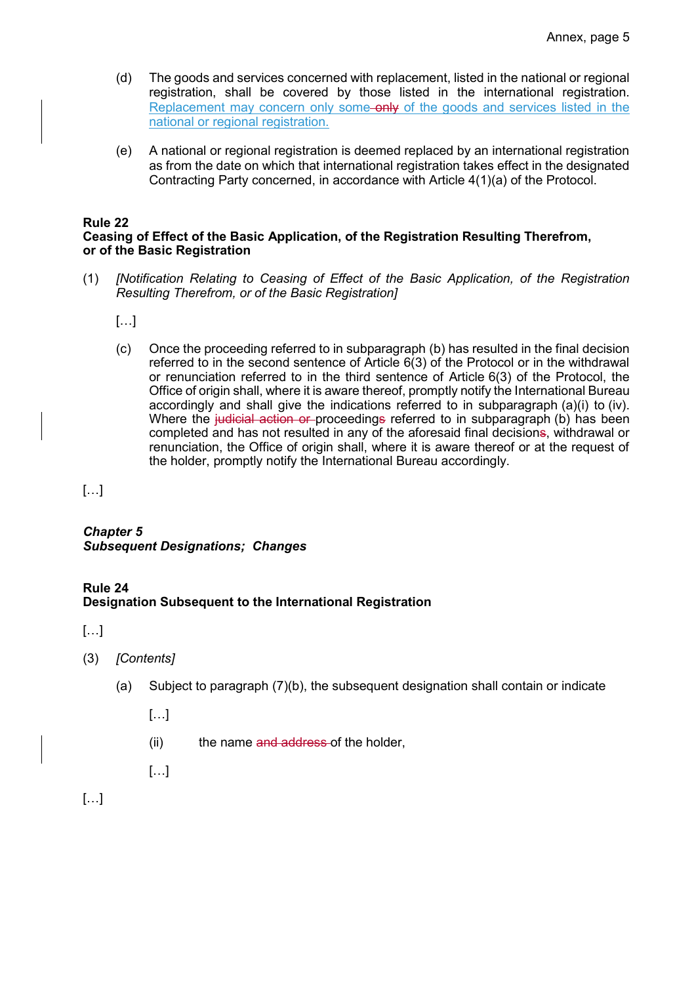- (d) The goods and services concerned with replacement, listed in the national or regional registration, shall be covered by those listed in the international registration. Replacement may concern only some-only of the goods and services listed in the national or regional registration.
- (e) A national or regional registration is deemed replaced by an international registration as from the date on which that international registration takes effect in the designated Contracting Party concerned, in accordance with Article 4(1)(a) of the Protocol.

#### **Rule 22**

## **Ceasing of Effect of the Basic Application, of the Registration Resulting Therefrom, or of the Basic Registration**

(1) *[Notification Relating to Ceasing of Effect of the Basic Application, of the Registration Resulting Therefrom, or of the Basic Registration]*

[…]

(c) Once the proceeding referred to in subparagraph (b) has resulted in the final decision referred to in the second sentence of Article 6(3) of the Protocol or in the withdrawal or renunciation referred to in the third sentence of Article 6(3) of the Protocol, the Office of origin shall, where it is aware thereof, promptly notify the International Bureau accordingly and shall give the indications referred to in subparagraph (a)(i) to (iv). Where the judicial action or proceedings referred to in subparagraph (b) has been completed and has not resulted in any of the aforesaid final decisions, withdrawal or renunciation, the Office of origin shall, where it is aware thereof or at the request of the holder, promptly notify the International Bureau accordingly.

[…]

*Chapter 5 Subsequent Designations; Changes*

## **Rule 24 Designation Subsequent to the International Registration**

[…]

- (3) *[Contents]*
	- (a) Subject to paragraph (7)(b), the subsequent designation shall contain or indicate
		- $\left[\ldots\right]$
		- (ii) the name and address of the holder,
		- […]

[…]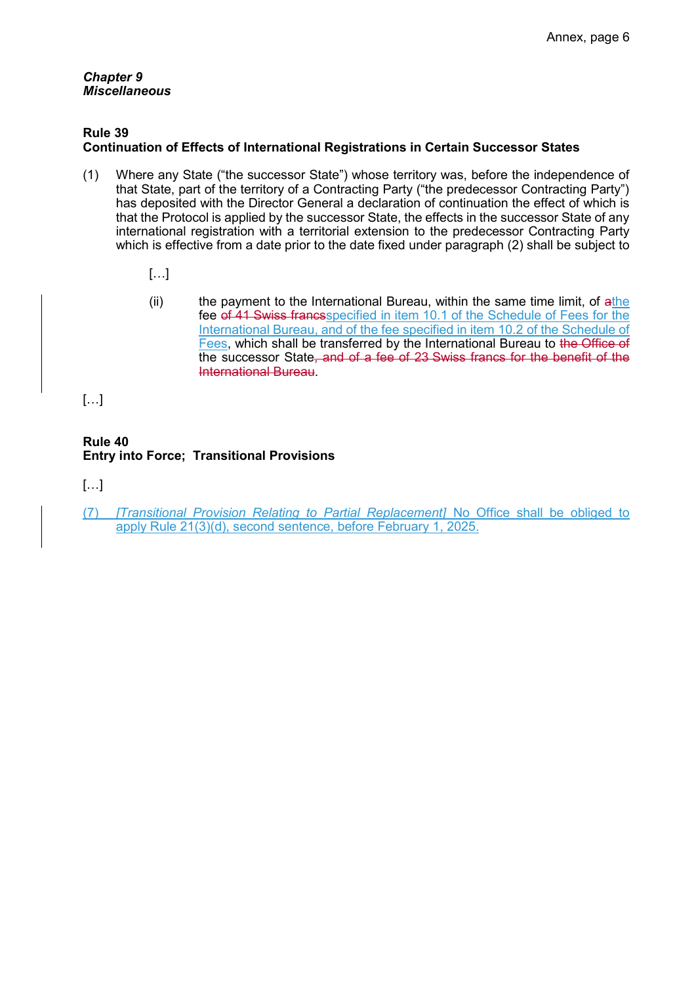#### *Chapter 9 Miscellaneous*

#### **Rule 39**

# **Continuation of Effects of International Registrations in Certain Successor States**

- (1) Where any State ("the successor State") whose territory was, before the independence of that State, part of the territory of a Contracting Party ("the predecessor Contracting Party") has deposited with the Director General a declaration of continuation the effect of which is that the Protocol is applied by the successor State, the effects in the successor State of any international registration with a territorial extension to the predecessor Contracting Party which is effective from a date prior to the date fixed under paragraph (2) shall be subject to
	- […]
	- (ii) the payment to the International Bureau, within the same time limit, of  $a$ the fee of 41 Swiss francs specified in item 10.1 of the Schedule of Fees for the International Bureau, and of the fee specified in item 10.2 of the Schedule of Fees, which shall be transferred by the International Bureau to the Office of the successor State, and of a fee of 23 Swiss francs for the benefit of the International Bureau.

[…]

## **Rule 40 Entry into Force; Transitional Provisions**

[…]

(7) *[Transitional Provision Relating to Partial Replacement]* No Office shall be obliged to apply Rule 21(3)(d), second sentence, before February 1, 2025.